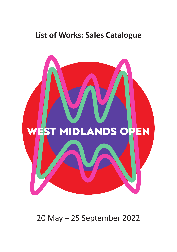## **List of Works: Sales Catalogue**



20 May – 25 September 2022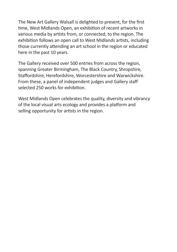The New Art Gallery Walsall is delighted to present, for the first time, West Midlands Open, an exhibition of recent artworks in various media by artists from, or connected, to the region. The exhibition follows an open call to West Midlands artists, including those currently attending an art school in the region or educated here in the past 10 years.

The Gallery received over 500 entries from across the region, spanning Greater Birmingham, The Black Country, Shropshire, Staffordshire, Herefordshire, Worcestershire and Warwickshire. From these, a panel of independent judges and Gallery staff selected 250 works for exhibition.

West Midlands Open celebrates the quality, diversity and vibrancy of the local visual arts ecology and provides a platform and selling opportunity for artists in the region.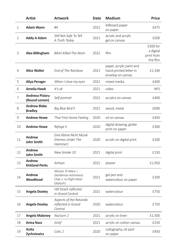|                          | Artist                                | <b>Artwork</b>                                                                       | <b>Date</b> | <b>Medium</b>                                                           | <b>Price</b>                                    |
|--------------------------|---------------------------------------|--------------------------------------------------------------------------------------|-------------|-------------------------------------------------------------------------|-------------------------------------------------|
| 1                        | Adam Wynn                             | #4                                                                                   | 2022        | billboard paper<br>on paper                                             | £475                                            |
| 2                        | Addy A Adam                           | Still Not Safe To Tell<br>A Truth Today                                              | 2021        | acrylic and acrylic<br>gel on canvas                                    | £500                                            |
| 3                        | Alex Billingham                       | Bikini Killed The Atom                                                               | 2022        | film                                                                    | £500 for<br>a digital<br>print from<br>the film |
| $\overline{4}$           | <b>Alice Walter</b>                   | End of The Rainbow                                                                   | 2021        | paper, acrylic paint and<br>hand-printed letter in<br>envelop on canvas | £1,340                                          |
| 5                        | <b>Aliya Perager</b>                  | When I close my eyes                                                                 | 2022        | mixed media                                                             | £400                                            |
| 6                        | <b>Amelia Hawk</b>                    | It's ok                                                                              | 2021        | video                                                                   | <b>NFS</b>                                      |
| $\overline{\phantom{a}}$ | Andreea Pislaru<br>(Round Lemon)      | Self-portrait                                                                        | 2022        | acrylics on canvas                                                      | £400                                            |
| 8                        | <b>Andrew Blake</b><br><b>Bradley</b> | Big Blue Bird II                                                                     | 2021        | wood, metal                                                             | £600                                            |
| 9                        | <b>Andrew Howe</b>                    | That First Home Feeling                                                              | 2020        | oil on canvas                                                           | £450                                            |
| 10                       | <b>Andrew Howe</b>                    | Refuge II                                                                            | 2020        | digital drawing, giclée<br>print on paper                               | £300                                            |
| 11                       | Andrew<br><b>John Smith</b>           | <b>Eine Kleine Nicht Musik</b><br>(Homes Under The<br>Hammer)                        | 2020        | acrylic on digital print                                                | £200                                            |
| 12                       | Andrew<br><b>John Smith</b>           | New Smoke 10                                                                         | 2021        | digital print                                                           | £150                                            |
| 13                       | Andrew<br><b>Kirkland-Perks</b>       | Artisan                                                                              | 2022        | plaster                                                                 | £1,950                                          |
| 14                       | Andrew<br>Woodhead                    | Mission To Mars: i.<br>Gentleman Astronauts<br>Club; ii. In-Flight Meal<br>(diptych) | 2021        | gel pen and<br>watercolour on paper                                     | £100                                            |
| 15                       | <b>Angela Dooley</b>                  | Hill Street reflected<br>in Grand Central                                            | 2021        | watercolour                                                             | £750                                            |
| 16                       | <b>Angela Dooley</b>                  | Aspects of the Rotunda<br>reflected in Grand<br>Central                              | 2020        | watercolour                                                             | £750                                            |
| 17                       | <b>Angela Maloney</b>                 | Nocturn 2                                                                            | 2021        | acrylic on linen                                                        | £1,500                                          |
| 18                       | <b>Anisa Nazz</b>                     | Grief                                                                                | 2021        | acrylic on cotton canvas                                                | £250                                            |
| 19                       | Anita<br>Zychniewicz                  | Colic 2                                                                              | 2020        | collography, oil pant<br>on paper                                       | £450                                            |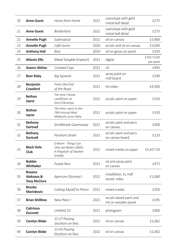| 20 | <b>Anne Guest</b>                                  | Home from Home                                                                     | 2022 | cyanotype with gold<br>metal leaf detail       | £275                   |
|----|----------------------------------------------------|------------------------------------------------------------------------------------|------|------------------------------------------------|------------------------|
| 21 | <b>Anne Guest</b>                                  | Borderland                                                                         | 2022 | cyanotype with gold<br>metal leaf detail       | £275                   |
| 22 | <b>Annette Pugh</b>                                | Subtropical                                                                        | 2022 | oil on canvas                                  | £3,800                 |
| 23 | Annette Pugh                                       | Café Scene                                                                         | 2020 | acrylic and oil on canvas                      | £3,600                 |
| 24 | <b>Anthony Hall</b>                                | Blue                                                                               | 2020 | oil on gesso on panel                          | £350                   |
| 25 | <b>Atlanta Ellis</b>                               | Mixed Tangible (triptych)                                                          | 2021 | digital                                        | £750/£250<br>per panel |
| 26 | <b>Azeem Akhtar</b>                                | Crooked Cops                                                                       | 2021 | oil                                            | £495                   |
| 27 | <b>Beer Baby</b>                                   | Big Squeeze                                                                        | 2022 | spray paint on<br>mdf board                    | £290                   |
| 28 | Benjamin<br><b>Crawford</b>                        | From the End<br>of the Road                                                        | 2021 | hd video                                       | £4,500                 |
| 29 | <b>Bethan</b><br>Jayne                             | The time I threw<br>cauliflower at<br>Gino D'Acampo                                | 2022 | acrylic paint on paper                         | £150                   |
| 30 | <b>Bethan</b><br>Jayne                             | The time I went to the<br>76th Annual West<br>Midland's Icons Party                | 2021 | acrylic paint on paper                         | £150                   |
| 31 | <b>Bethany</b><br><b>Dartnell</b>                  | Smallbrook Queensway                                                               | 2022 | acrylic paint and pens<br>on canvas            | £300                   |
| 32 | <b>Bethany</b><br><b>Dartnell</b>                  | Pershore Street                                                                    | 2021 | acrylic paint and pens<br>on canvas board      | £120                   |
| 33 | <b>Black Hole</b><br>Club                          | D:Ream - Things Can<br>Only Get Better (2005):<br>A Polyptych of Stephen<br>Snoddy | 2022 | mixed media on paper                           | £3,437.50              |
| 34 | <b>Bobbie</b><br>Whittaker                         | Purple Rain                                                                        | 2021 | oil and spray paint<br>on canvas               | £475                   |
| 35 | <b>Boyana</b><br>Aleksova &<br><b>Tony McClure</b> | Aperture (Struma) l                                                                | 2022 | installation, tv, mdf<br>wood, video           | £1,000                 |
| 36 | <b>Branko</b><br><b>Marinkovic</b>                 | Cutting Myself to Pieces                                                           | 2021 | mixed media                                    | £350                   |
| 37 | <b>Brian Shillitoe</b>                             | New Place I                                                                        | 2021 | acrylic based paint and<br>ink on wooden panel | £195                   |
| 38 | <b>Caitriona</b><br><b>Dunnett</b>                 | Untitled 10                                                                        | 2021 | phytogram                                      | £400                   |
| 39 | <b>Carolyn Blake</b>                               | 15:37 Passing<br>Stockton-on-Tees                                                  | 2022 | oil on canvas                                  | £1,062                 |
| 40 | <b>Carolyn Blake</b>                               | 15:43 Passing<br>Stockton-on-Tees                                                  | 2022 | oil on canvas                                  | £1,062                 |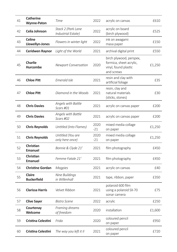| 41 | <b>Catherine</b><br><b>Wynne-Paton</b> | Time                                     | 2022          | acrylic on canvas                                                                        | £610   |
|----|----------------------------------------|------------------------------------------|---------------|------------------------------------------------------------------------------------------|--------|
| 42 | Celia Johnson                          | Stack 2 (Park Lane<br>Industrial Estate) | 2022          | acrylic on board<br>(birch plywood)                                                      | £525   |
| 43 | <b>Celine</b><br>Llewellyn-Jones       | Flowers in winter light                  | 2022          | ink on awagami<br>masa paper                                                             | £150   |
| 44 | Ceridwen Raynor                        | Light of the World                       | 2021          | archival digital print                                                                   | £550   |
| 45 | Charlie<br><b>Hurcombe</b>             | <b>Newport Conversation</b>              | 2020          | birch plywood, perspex,<br>formica, sheet acrylic,<br>vinyl, found plastic<br>and screws | £1,250 |
| 46 | Chloe Pitt                             | Emerald Isle                             | 2021          | resin and clay with<br>artificial foliage                                                | £35    |
| 47 | <b>Chloe Pitt</b>                      | Diamond in the Woods                     | 2021          | resin, clay and<br>natural materials<br>(sticks, stones)                                 | £30    |
| 48 | <b>Chris Davies</b>                    | Angels with Battle<br>Scars #01          | 2021          | acrylic on canvas paper                                                                  | £200   |
| 49 | <b>Chris Davies</b>                    | Angels with Battle<br>Scars #02          | 2021          | acrylic on canvas paper                                                                  | £200   |
| 50 | <b>Chris Reynolds</b>                  | Untitled (Into Flames)                   | 2020<br>$-21$ | mixed media collage<br>on paper                                                          | £1,250 |
| 51 | <b>Chris Reynolds</b>                  | Untitled (You are<br>only here once)     | 2020<br>$-21$ | mixed media collage<br>on paper                                                          | £1,250 |
| 52 | Christian<br><b>Emanuel</b>            | Bonnie & Clyde 21'                       | 2021          | film photography                                                                         | £450   |
| 53 | Christian<br>Emanuel                   | Femme Fatale 21'                         | 2021          | film photography                                                                         | £450   |
| 54 | <b>Christine Gordan</b>                | <b>Magpies</b>                           | 2021          | acrylic on canvas                                                                        | £40    |
| 55 | Claire<br><b>Buckerfield</b>           | Nine Buildings<br>in Willenhall          | 2021          | tape, ribbon, paper                                                                      | £350   |
| 56 | <b>Clarissa Harris</b>                 | Velvet Ribbon                            | 2021          | polaroid 600 film<br>using a polaroid SX-70<br>sonar camera                              | £75    |
| 57 | <b>Clive Sayer</b>                     | <b>Bistro Scene</b>                      | 2022          | acrylic                                                                                  | £250   |
| 58 | Courtenay<br>Welcome                   | Framing dreams<br>of freedom             | 2020          | installation                                                                             | £1,600 |
| 59 | Cristina Celestini                     | Frida                                    | 2020          | coloured pencil<br>on paper                                                              | £950   |
| 60 | <b>Cristina Celestini</b>              | The way you left it II                   | 2021          | coloured pencil<br>on paper                                                              | £720   |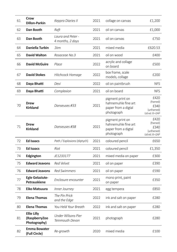| 61 | Crow<br><b>Dillon-Parkin</b>                        | Keppra Diaries II                            | 2021 | collage on canvas                                                            | £1,200                                                   |
|----|-----------------------------------------------------|----------------------------------------------|------|------------------------------------------------------------------------------|----------------------------------------------------------|
| 62 | Dan Booth                                           | Raft                                         | 2021 | oil on canvas                                                                | £1,000                                                   |
| 63 | Dan Booth                                           | Laura and Peter -<br>4 months, 2 days        | 2021 | oil on canvas                                                                | £750                                                     |
| 64 | Daniella Turbin                                     | 1km                                          | 2021 | mixed media                                                                  | £620.53                                                  |
| 65 | <b>David Walton</b>                                 | Rosaceae No.3                                | 2021 | oil on wood                                                                  | £400                                                     |
| 66 | <b>David McGuire</b>                                | Place                                        | 2022 | acrylic and collage<br>on board                                              | £500                                                     |
| 67 | <b>David Stokes</b>                                 | Hitchcock Homage                             | 2022 | box frame, scale<br>models, collage                                          | £200                                                     |
| 68 | Daya Bhatti                                         | Devi                                         | 2022 | oil on paintbrush                                                            | <b>NFS</b>                                               |
| 69 | Daya Bhatti                                         | Complexion                                   | 2021 | oil on board                                                                 | <b>NFS</b>                                               |
| 70 | <b>Drew</b><br><b>Kirkland</b>                      | Danseuses #33                                | 2021 | pigment print on<br>hahnemuhle fine art<br>paper from a digtal<br>photograph | £420<br>(framed)<br>£340<br>(unframed)<br>Ltd ed. 8 +2AP |
| 71 | Drew<br><b>Kirkland</b>                             | Danseuses #38                                | 2021 | pigment print on<br>hahnemuhle fine art<br>paper from a digtal<br>photograph | £420<br>(framed)<br>£340<br>(unframed)<br>Ltd ed. 8 +2AP |
| 72 | <b>Ed Isaacs</b>                                    | Path / Explosions (diptych)                  | 2021 | coloured pencil                                                              | £650                                                     |
| 73 | <b>Ed Isaacs</b>                                    | Riot                                         | 2021 | coloured pencil                                                              | £1,350                                                   |
| 74 | Edgington                                           | JE1233177                                    | 2021 | mixed media on paper                                                         | £300                                                     |
| 75 | <b>Edward Jeavons</b>                               | <b>Red Velvet</b>                            | 2021 | oil on paper                                                                 | £390                                                     |
| 76 | <b>Edward Jeavons</b>                               | <b>Red Swimmers</b>                          | 2021 | oil on paper                                                                 | £590                                                     |
| 77 | <b>Egle Gelaziute-</b><br>Petrauskiene              | Enclosure encounter                          | 2021 | mono print, paint<br>on paper                                                | £350                                                     |
| 78 | Eiko Matsuura                                       | Inner Journey                                | 2021 | egg tempera                                                                  | £850                                                     |
| 79 | <b>Elena Thomas</b>                                 | The Pin Prick<br>and the Edge                | 2022 | ink and salt on paper                                                        | £280                                                     |
| 80 | <b>Elena Thomas</b>                                 | You Held Your Breath                         | 2022 | ink and salt on paper                                                        | £280                                                     |
| 81 | <b>Ellie Lilly</b><br>(RaspberryZoo<br>Photography) | <b>Under Wilsons Pier</b><br>Teinmouth Devon | 2021 | photograph                                                                   | £280                                                     |
| 82 | <b>Emma Bowater</b><br>(Full Circle)                | Re-growth                                    | 2020 | mixed media                                                                  | £100                                                     |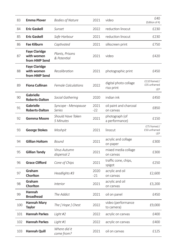| 83  | <b>Emma Plover</b>                                  | <b>Bodies of Nature</b>              | 2021          | video                               | £40<br>(Edition of 4)                       |
|-----|-----------------------------------------------------|--------------------------------------|---------------|-------------------------------------|---------------------------------------------|
| 84  | <b>Eric Gaskell</b>                                 | Sunset                               | 2022          | reduction linocut                   | £230                                        |
| 85  | <b>Eric Gaskell</b>                                 | Safe Harbour                         | 2021          | reduction linocut                   | £230                                        |
| 86  | <b>Fae Kilburn</b>                                  | Captivated                           | 2021          | silkscreen print                    | £750                                        |
| 87  | <b>Faye Claridge</b><br>with women<br>from HMP Send | Plants, Prisons<br>& Potential       | 2021          | video                               | £420                                        |
| 88  | <b>Faye Claridge</b><br>with women<br>from HMP Send | Recalibration                        | 2021          | photographic print                  | £450                                        |
| 89  | <b>Fiona Cullinan</b>                               | <b>Female Calculations</b>           | 2022          | digital photo collage<br>riso print | £110 framed /<br>£35 unframed<br><b>IFP</b> |
| 90  | <b>Gabrielle</b><br><b>Roberts-Dalton</b>           | Social Gathering                     | 2020          | indian ink                          | £450                                        |
| 91  | <b>Gabrielle</b><br><b>Roberts-Dalton</b>           | Syncope - Menopause<br><b>Series</b> | 2021<br>$-22$ | oil paint and charcoal<br>on canvas | £850                                        |
| 92  | <b>Gemma Moore</b>                                  | Should Have Taken<br>5 Minutes       | 2021          | photograph (of<br>a performance)    | £150                                        |
| 93  | <b>George Stokes</b>                                | Moshpit                              | 2021          | linocut                             | £75 framed /<br>£50 unframed<br>LEP         |
| 94  | <b>Gillian Holtom</b>                               | Bound                                | 2021          | acrylic and collage<br>on paper     | £300                                        |
| 95  | <b>Gillian Tandy</b>                                | Virus Autumn<br>dispersal 2          | 2021          | mixed media collage<br>on canvas    | £300                                        |
| 96  | <b>Grace Clifford</b>                               | Cone of Chips                        | 2021          | traffic cone, chips,<br>spigot      | £250                                        |
| 97  | Graham<br>Chorlton                                  | Headlights #3                        | 2020<br>$-21$ | acrylic and oil<br>on canvas        | £2,600                                      |
| 98  | Graham<br>Chorlton                                  | <b>Interior</b>                      | 2021          | acrylic and oil<br>on canvas        | £3,200                                      |
| 99  | Hannah<br><b>Broadhead</b>                          | The Addict                           | 2021          | oil on panel                        | £450                                        |
| 100 | <b>Hannah Mary</b><br><b>Taylor</b>                 | The [Hope ] Chest                    | 2022          | video (performance<br>to camera)    | £9,000                                      |
| 101 | <b>Hannah Parkes</b>                                | Light #2                             | 2022          | acrylic on canvas                   | £400                                        |
| 102 | <b>Hannah Parkes</b>                                | Light #1                             | 2022          | acrylic on canvas                   | £400                                        |
| 103 | <b>Hannah Quill</b>                                 | Where did it<br>come from?           | 2021          | oil on canvas                       | £125                                        |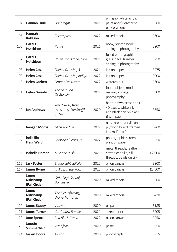| 104 | <b>Hannah Quill</b>                 | Hang tight                                               | 2021 | pinkgrip, white acrylic<br>paint and fluorescent<br>pink pigment                         | £360       |
|-----|-------------------------------------|----------------------------------------------------------|------|------------------------------------------------------------------------------------------|------------|
| 105 | Hannah<br>Rollason                  | Encompass                                                | 2022 | mixed media                                                                              | £300       |
| 106 | Hazel E<br><b>Hutchison</b>         | Route                                                    | 2021 | book, printed book,<br>analogue photography                                              | £200       |
| 107 | Hazel E<br><b>Hutchison</b>         | Route: glass landscape                                   | 2021 | fused photographic<br>glass, decal transfers,<br>analogue photography                    | £750       |
| 108 | <b>Helen Cass</b>                   | Folded Drawing 3                                         | 2021 | ink on paper                                                                             | £475       |
| 109 | <b>Helen Cass</b>                   | Folded Drawing Indigo                                    | 2022 | ink on paper                                                                             | £900       |
| 110 | <b>Helen Garbett</b>                | Limpet Ecosystem                                         | 2022 | watercolour                                                                              | £600       |
| 111 | <b>Helen Grundy</b>                 | The Last Can<br>Of Gasoline                              | 2022 | found object, model<br>making, collage,<br>photography                                   | £300       |
| 112 | <b>Ian Andrews</b>                  | Your Guess, from<br>the series, The Shuffle<br>of Things | 2020 | hand-drawn artist book,<br>40 pages, white ink<br>and black pen on black<br>tissue paper | £850       |
| 113 | <b>Imogen Morris</b>                | Michaela Coel                                            | 2022 | nail, thread, acrylic on<br>plywood board, framed<br>in a mdf box frame                  | £460       |
| 114 | indie illo -<br><b>Fleur Ward</b>   | Skyscape (Series 3)                                      | 2022 | photographic screen<br>print on paper                                                    | £250       |
| 115 | <b>Isabelle Homer</b>               | A Gentle Push                                            | 2021 | metal threads, leather,<br>cotton chenille, silk<br>threads, beads on silk               | £2,000     |
| 116 | <b>Jack Foster</b>                  | Studio light still life                                  | 2022 | oil on canvas                                                                            | £800       |
| 117 | <b>James Byrne</b>                  | A Walk in the Park                                       | 2022 | oil on canvas                                                                            | £2,500     |
| 118 | James<br>Milichamp<br>(Full Circle) | Girls' High School,<br>Doncaster                         | 2020 | mixed media                                                                              | £360       |
| 119 | James<br>Milichamp<br>(Full Circle) | The Eye Infirmary,<br>Wolverhampton                      | 2020 | mixed media                                                                              | £420       |
| 120 | <b>James Stacey</b>                 | Vacant                                                   | 2020 | oil paint                                                                                | £185       |
| 121 | <b>James Turner</b>                 | Cardboard Bundle                                         | 2021 | screen print                                                                             | £205       |
| 122 | <b>Jane Spence</b>                  | Red Black Green                                          | 2022 | oil on canvas                                                                            | £250       |
| 123 | Janette<br>Summerfield              | Windfalls                                                | 2020 | pastel                                                                                   | £550       |
| 124 | Jaskirt Boora                       | Jorvan                                                   | 2020 | photograph                                                                               | <b>NFS</b> |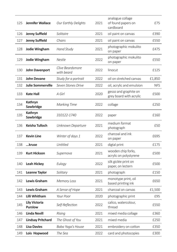| 125 | <b>Jennifer Wallace</b>                | <b>Our Earthly Delights</b>    | 2021 | analogue collage<br>of found papers on<br>cardboard | £75        |
|-----|----------------------------------------|--------------------------------|------|-----------------------------------------------------|------------|
| 126 | <b>Jenny Suffield</b>                  | Solitaire                      | 2021 | oil paint on canvas                                 | £390       |
| 127 | <b>Jenny Suffield</b>                  | Chairs                         | 2021 | oil paint on canvas                                 | £550       |
| 128 | <b>Jodie Wingham</b>                   | Hand Study                     | 2021 | photographic mokulito<br>on paper                   | £475       |
| 129 | <b>Jodie Wingham</b>                   | Nestle                         | 2022 | photographic mokulito<br>on paper                   | £550       |
| 130 | John Davenport                         | Clive Beardsmore<br>with beard | 2022 | linocut                                             | £125       |
| 131 | <b>John Devane</b>                     | Study for a portrait           | 2022 | oil on stretched canvas                             | £1,850     |
| 132 | <b>Julie Sommerville</b>               | Seven Stones Drive             | 2022 | oil, acrylic and emulsion                           | <b>NFS</b> |
| 133 | <b>Kate Hall</b>                       | A Girl                         | 2020 | gesso and graphite on<br>grey board with acrylic    | £500       |
| 134 | Kathryn<br>Sawbridge                   | <b>Marking Time</b>            | 2022 | collage                                             | £250       |
| 135 | Kathryn<br>Sawbridge                   | 310122-1740                    | 2022 | paper                                               | £160       |
| 136 | Keisha Tulloch                         | Unknown Departure              | 2021 | medium format<br>photograph                         | £50        |
| 137 | <b>Kevin Line</b>                      | Winter of days 1               | 2022 | charcoal and ink<br>on paper                        | £695       |
| 138 | kruse                                  | Untitled                       | 2021 | digtal print                                        | £175       |
| 139 | <b>Kurt Hickson</b>                    | Supernova                      | 2021 | wooden chip forks,<br>acrylic on polystyrene        | £500       |
| 140 | Leah Hickey                            | Eulogy                         | 2022 | silk giclée print on<br>paper, on lectern           | £500       |
| 141 | Leanne Taylor                          | Solitary                       | 2021 | photograph                                          | £150       |
| 142 | <b>Lewis Graham</b>                    | <b>Memory Loss</b>             | 2021 | monotype print, oil<br>based printing ink           | £650       |
| 143 | <b>Lewis Graham</b>                    | A Sense of Hope                | 2021 | charcoal on canvas                                  | £1,500     |
| 144 | Lilli Whitham                          | Your Poor                      | 2020 | photographic print                                  | £95        |
| 145 | <b>Lily Victoria</b><br><b>Purslow</b> | Self-Reflection                | 2022 | calico, watercolour,<br>thread                      | £550       |
| 146 | <b>Linda Nevill</b>                    | Rising                         | 2021 | mixed media collage                                 | £360       |
| 147 | <b>Lindsay Pritchard</b>               | The Ghost of You               | 2021 | mixed media                                         | £250       |
| 148 | <b>Lisa Davies</b>                     | Baba Yaga's House              | 2021 | embroidery on cotton                                | £350       |
| 149 | Lois Hopwood                           | The Sea                        | 2022 | card and photocopies                                | £300       |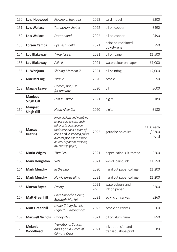| 150 | Lois Hopwood                    | Playing in the ruins                                                                                                                                                                                                               | 2022          | card model                                 | £300                        |
|-----|---------------------------------|------------------------------------------------------------------------------------------------------------------------------------------------------------------------------------------------------------------------------------|---------------|--------------------------------------------|-----------------------------|
| 151 | <b>Lois Wallace</b>             | Temporary shelter                                                                                                                                                                                                                  | 2022          | oil on copper                              | £490                        |
| 152 | <b>Lois Wallace</b>             | Distant land                                                                                                                                                                                                                       | 2022          | oil on copper                              | £490                        |
| 153 | <b>Lorsen Camps</b>             | Eye Test (Pink)                                                                                                                                                                                                                    | 2021          | paint on reclaimed<br>polystyrene          | £750                        |
| 154 | Lou Blakeway                    | Trixie (Love)                                                                                                                                                                                                                      | 2021          | oil on panel                               | £1,500                      |
| 155 | Lou Blakeway                    | Allie II                                                                                                                                                                                                                           | 2021          | watercolour on paper                       | £1,000                      |
| 156 | Lu Wenjuan                      | Shining Moment 7                                                                                                                                                                                                                   | 2021          | oil painting                               | £2,000                      |
| 157 | <b>Mac McCoig</b>               | <b>Titanic</b>                                                                                                                                                                                                                     | 2020          | acrylic                                    | £550                        |
| 158 | <b>Maggie Leaver</b>            | Heroes, not just<br>for one day                                                                                                                                                                                                    | 2020          | oil                                        | £600                        |
| 159 | Manjeet<br><b>Singh Gill</b>    | Lost In Space                                                                                                                                                                                                                      | 2021          | digital                                    | £180                        |
| 160 | Manjeet<br><b>Singh Gill</b>    | Neon Alley Cat                                                                                                                                                                                                                     | 2020          | digital                                    | £180                        |
| 161 | <b>Marcus</b><br><b>Keating</b> | Hypervigilant and numb no<br>longer able to keep each<br>other safe blue heaven<br>thickshakes and a plate of<br>chips, and, A stocking pulled<br>over his face kids in a mall<br>on cctv big hands crushing<br>my chest (diptych) | 2022          | gouache on calico                          | £150 each<br>/£300<br>total |
| 162 | <b>Maria Wigley</b>             | That Day                                                                                                                                                                                                                           | 2021          | paper, paint, silk, thread                 | £200                        |
| 163 | <b>Mark Houghton</b>            | Slotz                                                                                                                                                                                                                              | 2021          | wood, paint, ink                           | £1,250                      |
| 164 | <b>Mark Murphy</b>              | In the bag                                                                                                                                                                                                                         | 2020          | hand cut paper collage                     | £1,200                      |
| 165 | Mark Murphy                     | Slowly unravelling                                                                                                                                                                                                                 | 2021          | hand cut paper collage                     | £1,200                      |
| 166 | Marwa Sayed                     | Facing                                                                                                                                                                                                                             | 2021<br>$-22$ | watercolours and<br>ink on paper           | £200                        |
| 167 | <b>Matt Greenhill</b>           | Chez Michelle Florist.<br><b>Borough Market</b>                                                                                                                                                                                    | 2021          | acrylic on canvas                          | £260                        |
| 168 | <b>Matt Greenhill</b>           | Lower Trinity Street,<br>Digbeth, Birmingham                                                                                                                                                                                       | 2022          | acrylic on canvas                          | £200                        |
| 169 | <b>Maxwell Nichols</b>          | Daddy chill                                                                                                                                                                                                                        | 2021          | oil on aluminium                           | £850                        |
| 170 | <b>Melanie</b><br>Woodhead      | Transitional Spaces<br>and Ages in Times of<br>Climate Crisis                                                                                                                                                                      | 2021          | inkjet transfer and<br>transaquatype print | £80                         |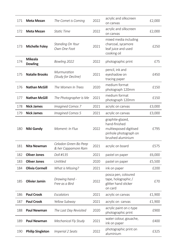| 171 | Meta Mezan                       | The Comet is Coming                          | 2022 | acrylic and silkscreen<br>on canvas                                                                       | £2,000 |
|-----|----------------------------------|----------------------------------------------|------|-----------------------------------------------------------------------------------------------------------|--------|
| 172 | <b>Meta Mezan</b>                | <b>Static Time</b>                           | 2022 | acrylic and silkscreen<br>on canvas                                                                       | £2,000 |
| 173 | <b>Michelle Foley</b>            | Standing On Your<br>Own One Foot             | 2021 | mixed media including<br>charcoal, sycamore<br>leaf juice and used<br>cooking oil                         | £250   |
| 174 | <b>Mikeala</b><br><b>Dowling</b> | Bowling 2022                                 | 2022 | photographic print                                                                                        | £75    |
| 175 | <b>Natalie Brooks</b>            | Murmuration<br>(Study for Decline)           | 2021 | pencil, ink and<br>eyeshadow on<br>tracing paper                                                          | £450   |
| 176 | <b>Nathan McGill</b>             | The Women In Trees                           | 2020 | medium format<br>photograph 120mm                                                                         | £150   |
| 177 | <b>Nathan McGill</b>             | The Photographer Is Me                       | 2021 | medium format<br>photograph 120mm                                                                         | £150   |
| 178 | <b>Nick James</b>                | <b>Imagined Comos 7</b>                      | 2021 | acrylic on canvas                                                                                         | £3,000 |
| 179 | <b>Nick James</b>                | <b>Imagined Comos 5</b>                      | 2021 | acrylic on canvas                                                                                         | £3,000 |
| 180 | Niki Gandy                       | Moment: In Flux                              | 2022 | graphite-glazed,<br>hand-finished<br>multiexposed digitised<br>pinhole photograph on<br>brushed aluminium | £795   |
| 181 | Nita Newman                      | Celadon Green Bo Peep<br>& her Cappamore Ram | 2021 | acrylic on board                                                                                          | £575   |
| 182 | <b>Oliver Jones</b>              | Doll #135                                    | 2021 | pastel on paper                                                                                           | £6,000 |
| 183 | <b>Oliver Jones</b>              | Untitled                                     | 2020 | pastel on paper                                                                                           | £5,500 |
| 184 | <b>Olivia Cormell</b>            | <b>What is Missing?</b>                      | 2021 | ink on paper                                                                                              | £200   |
| 185 | <b>Olivier Jamin</b>             | Drawing hand -<br>Free as a Bird             | 2022 | posca pen, coloured<br>tape, holographic /<br>glitter hand sticker<br>on card                             | £70    |
| 186 | <b>Paul Crook</b>                | Escalators                                   | 2021 | acrylic on canvas                                                                                         | £1,900 |
| 187 | <b>Paul Crook</b>                | Yellow Subway                                | 2021 | acrylic on canvas                                                                                         | £1,900 |
| 188 | <b>Paul Newman</b>               | The Last Day Revisited                       | 2020 | acrylic paint on c-type<br>photographic print                                                             | £900   |
| 189 | <b>Paul Newman</b>               | <b>Mechanical Fly Study</b>                  | 2021 | water colour, gouache,<br>ink on paper                                                                    | £400   |
| 190 | <b>Philip Singleton</b>          | <b>Imperial 2 Seats</b>                      | 2022 | photographic print on<br>aluminium                                                                        | £325   |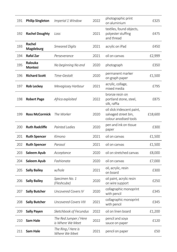| 191 | <b>Philip Singleton</b>   | Imperial 1 Window                         | 2022 | photographic print<br>on aluminium                                           | £325    |
|-----|---------------------------|-------------------------------------------|------|------------------------------------------------------------------------------|---------|
| 192 | <b>Rachel Doughty</b>     | Loss                                      | 2021 | textiles, found objects,<br>polyester stuffing<br>and thread                 | £475    |
| 193 | Rachel<br>Magdeburg       | <b>Smeared Digits</b>                     | 2021 | acrylic on iPad                                                              | £450    |
| 194 | <b>Rafal Zar</b>          | Perseverance                              | 2021 | oil on canvas                                                                | £2,999  |
| 195 | Ralouka<br><b>Montesi</b> | No beginning No end                       | 2020 | photograph                                                                   | £350    |
| 196 | <b>Richard Scott</b>      | Time-Gestalt                              | 2020 | permanent marker<br>on graph paper                                           | £1,500  |
| 197 | <b>Rob Leckey</b>         | Mevagissey Harbour                        | 2021 | acrylic, collage,<br>mixed media                                             | £795    |
| 198 | <b>Robert Page</b>        | Africa exploited                          | 2022 | bronze resin on<br>portland stone, steel,<br>silk, raffia                    | £875    |
| 199 | <b>Ross McCormick</b>     | The Worker                                | 2020 | oil slick iridescent paint,<br>salvaged street bin,<br>colour anodised tools | £18,600 |
| 200 | <b>Ruth Radcliffe</b>     | <b>Painted Ladies</b>                     | 2020 | pen and ink on tissue<br>paper                                               | £300    |
| 201 | <b>Ruth Spencer</b>       | Kimono                                    | 2021 | oil on canvas                                                                | £1,500  |
| 202 | <b>Ruth Spencer</b>       | Parasol                                   | 2021 | oil on canvas                                                                | £1,500  |
| 203 | Saleem Ayub               | Acceptance                                | 2020 | oil on stretched canvas                                                      | £8,000  |
| 204 | Saleem Ayub               | Fashionata                                | 2020 | oil on canvas                                                                | £7,000  |
| 205 | <b>Sally Bailey</b>       | w/hole                                    | 2021 | oil, acrylic, resin<br>on board                                              | £300    |
| 206 | <b>Sally Bailey</b>       | Specimen No. 1<br>(Fleshcube)             | 2020 | oil paint, acrylic resin<br>on wire support                                  | £250    |
| 207 | <b>Sally Butcher</b>      | <b>Uncovered Covers IV</b>                | 2020 | collagraphic monoprint<br>with pencil                                        | £345    |
| 208 | <b>Sally Butcher</b>      | <b>Uncovered Covers VIII</b>              | 2021 | collagraphic monoprint<br>with pencil                                        | £345    |
| 209 | <b>Sally Payen</b>        | Sketchbook of Fecundus                    | 2022 | oil on linen board                                                           | £1,200  |
| 210 | Sam Hale                  | The Red Jumper / Here<br>is Where We Meet | 2022 | pencil and soya<br>sauce on paper                                            | £120    |
| 211 | Sam Hale                  | The Ring / Here is<br>Where We Meet       | 2021 | pencil on paper                                                              | £50     |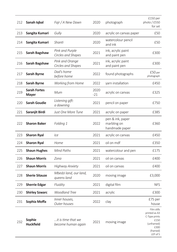| 212 | Sanah Iqbal                         | Fajr / A New Dawn                           | 2020          | photograph                                        | £150 per<br>photo / £550<br>for set                                                                 |
|-----|-------------------------------------|---------------------------------------------|---------------|---------------------------------------------------|-----------------------------------------------------------------------------------------------------|
| 213 | Sangita Kumari                      | Gully                                       | 2020          | acrylic on canvas paper                           | £50                                                                                                 |
| 214 | Sangita Kumari                      | Shanti                                      | 2020          | watercolour pencil<br>and ink                     | £50                                                                                                 |
| 215 | Sarah Bagshaw                       | Pink and Purple<br>Circles and Shapes       | 2021          | ink, acrylic paint<br>and paint pen               | £300                                                                                                |
| 216 | Sarah Bagshaw                       | Pink and Orange<br>Circles and Shapes       | 2021          | ink, acrylic paint<br>and paint pen               | £300                                                                                                |
| 217 | Sarah Byrne                         | Dad's home<br>before home                   | 2022          | found photographs                                 | £50 <sub>per</sub><br>photograph                                                                    |
| 218 | Sarah Byrne                         | <b>Working from Home</b>                    | 2022          | yarn installation                                 | £450                                                                                                |
| 219 | <b>Sarah Fortes</b><br><b>Mayer</b> | Mum                                         | 2020<br>$-21$ | acrylic on canvas                                 | £325                                                                                                |
| 220 | <b>Sarah Goudie</b>                 | Listening gift:<br>a dawning                | 2021          | pencil on paper                                   | £750                                                                                                |
| 221 | Saranjit Birdi                      | Just One More Tune                          | 2021          | acrylic on paper                                  | £385                                                                                                |
| 222 | <b>Sharon Baker</b>                 | Folding 1                                   | 2022          | pen & ink, paper<br>marbling on<br>handmade paper | £360                                                                                                |
| 223 | <b>Sharon Ryal</b>                  | Ice                                         | 2021          | acrylic on canvas                                 | £450                                                                                                |
| 224 | <b>Sharon Ryal</b>                  | Home                                        | 2021          | oil on mdf                                        | £350                                                                                                |
| 225 | <b>Shaun Hughes</b>                 | Mind Paths                                  | 2021          | watercolour and pen                               | £175                                                                                                |
| 226 | <b>Shaun Morris</b>                 | Zona                                        | 2021          | oil on canvas                                     | £400                                                                                                |
| 227 | <b>Shaun Morris</b>                 | <b>Highway Anxiety</b>                      | 2021          | oil on canvas                                     | £400                                                                                                |
| 228 | <b>Sherie Sitauze</b>               | Mbedzi land, our land,<br>queens land       | 2020          | moving image                                      | £3,000                                                                                              |
| 229 | <b>Sherrie Edgar</b>                | Fluidity                                    | 2021          | digital film                                      | <b>NFS</b>                                                                                          |
| 230 | <b>Shirley Szwarc</b>               | <b>Woodland Tree</b>                        | 2021          | acrylic                                           | £300                                                                                                |
| 231 | Sophia Moffa                        | Inner houses,<br>Outer houses               | 2022          | clay                                              | £75 per<br>house                                                                                    |
| 232 | Sophie<br><b>Huckfield</b>          | $$ it is time that we<br>become human again | 2021          | moving image                                      | Film stills<br>printed as A3<br>C-Type prints<br>£150<br>(unframed)<br>£300<br>(framed)<br>LEP of 5 |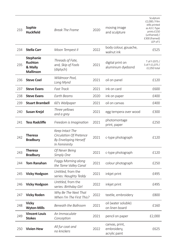| 233 | Sophie<br><b>Huckfield</b>                                        | Break The Frame                                                                      | 2020 | moving image<br>and sculpture                  | Sculpture<br>£2,000 / Film<br>stills printed<br>as A3 C-Type<br>prints £150<br>(unframed) /<br>£300 (framed)<br>LEP of 5 |
|-----|-------------------------------------------------------------------|--------------------------------------------------------------------------------------|------|------------------------------------------------|--------------------------------------------------------------------------------------------------------------------------|
| 234 | <b>Stella Carr</b>                                                | Moon Tempest II                                                                      | 2022 | body colour, gouache,<br>walnut ink            | £525                                                                                                                     |
| 235 | <b>Stephanie</b><br><b>Rushton</b><br>& Mally<br><b>Mallinson</b> | Threads of Fate,<br>and, Skip of Fools<br>(diptych)                                  | 2021 | digital print on<br>aluminium dyebond          | T of F £975 /<br>S of F £1,075 /<br>£2,050 total                                                                         |
| 236 | <b>Steve Coel</b>                                                 | Wildmoor Pool,<br>Long Mynd                                                          | 2021 | oil on panel                                   | £120                                                                                                                     |
| 237 | <b>Steve Evans</b>                                                | <b>Fast Track</b>                                                                    | 2021 | ink on card                                    | £600                                                                                                                     |
| 238 | <b>Steve Evans</b>                                                | Earth Beams                                                                          | 2020 | ink on paper                                   | £400                                                                                                                     |
| 239 | <b>Stuart Brambell</b>                                            | 60's Wallpaper                                                                       | 2021 | oil on canvas                                  | £400                                                                                                                     |
| 240 | Susan Krejzl                                                      | Three yellows<br>and a grey                                                          | 2021 | egg tempera over wood                          | £300                                                                                                                     |
| 241 | <b>Tess Radcliffe</b>                                             | Freedom is Imagination                                                               | 2021 | photomontage<br>print, paper                   | £250                                                                                                                     |
| 242 | <b>Theresa</b><br><b>Bradbury</b>                                 | Keep Intact The<br>Circulation Of Pretence<br>By Enveloping Herself<br>In Femininity | 2021 | c-type photograph                              | £120                                                                                                                     |
| 243 | Theresa<br><b>Bradbury</b>                                        | Of Never Being<br>Simply One                                                         | 2021 | c-type photograph                              | £120                                                                                                                     |
| 244 | <b>Tom Ranahan</b>                                                | <b>Foggy Morning along</b><br>the Tame Valley Canal                                  | 2021 | colour photograph                              | £250                                                                                                                     |
| 245 | <b>Vicky Hodgson</b>                                              | Untitled, from the<br>series: Naughty Teddy                                          | 2021 | inkjet print                                   | £495                                                                                                                     |
| 246 | <b>Vicky Hodgson</b>                                              | Untitled, from the<br>series: Birthday Girl                                          | 2022 | inkjet print                                   | £495                                                                                                                     |
| 247 | <b>Vicky Roden</b>                                                | Why Be The Next That<br>When I'm The First This?                                     | 2022 | textile, embroidery                            | £800                                                                                                                     |
| 248 | Vicky<br><b>Wyton-Mills</b>                                       | Beneath the Ballroom                                                                 | 2021 | oil (water soluble)<br>on linen board          | £160                                                                                                                     |
| 249 | <b>Vincent Louis</b><br><b>Stokes</b>                             | An Immaculate<br>Conception                                                          | 2021 | pencil on paper                                | £2,000                                                                                                                   |
| 250 | <b>Vivien Hew</b>                                                 | All fur coat and<br>no knickers                                                      | 2022 | canvas, print,<br>embroidery,<br>acrylic paint | £625                                                                                                                     |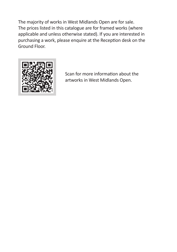The majority of works in West Midlands Open are for sale. The prices listed in this catalogue are for framed works (where applicable and unless otherwise stated). If you are interested in purchasing a work, please enquire at the Reception desk on the Ground Floor.



Scan for more information about the artworks in West Midlands Open.